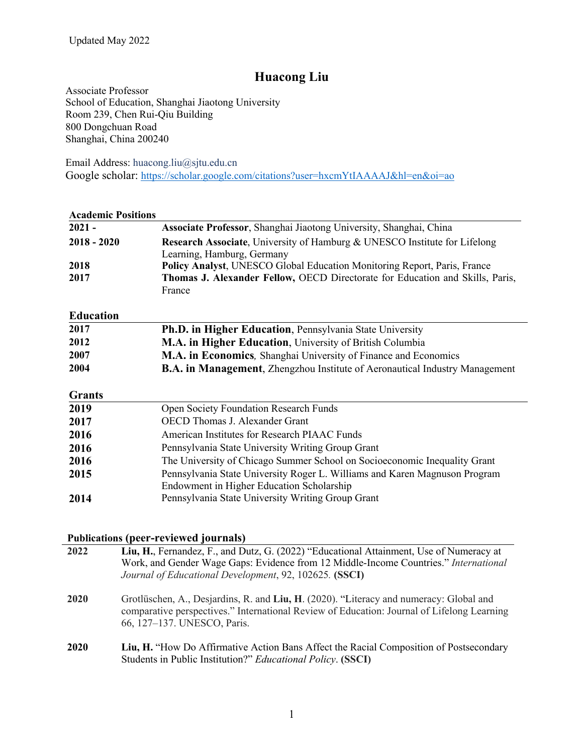# **Huacong Liu**

Associate Professor School of Education, Shanghai Jiaotong University Room 239, Chen Rui-Qiu Building 800 Dongchuan Road Shanghai, China 200240

Email Address: huacong.liu@sjtu.edu.cn Google scholar: https://scholar.google.com/citations?user=hxcmYtIAAAAJ&hl=en&oi=ao

| <b>Academic Positions</b> |                                                                                      |
|---------------------------|--------------------------------------------------------------------------------------|
| $2021 -$                  | Associate Professor, Shanghai Jiaotong University, Shanghai, China                   |
| $2018 - 2020$             | <b>Research Associate, University of Hamburg &amp; UNESCO Institute for Lifelong</b> |
|                           | Learning, Hamburg, Germany                                                           |
| 2018                      | Policy Analyst, UNESCO Global Education Monitoring Report, Paris, France             |
| 2017                      | Thomas J. Alexander Fellow, OECD Directorate for Education and Skills, Paris,        |
|                           | France                                                                               |
| <b>Education</b>          |                                                                                      |
| 2017                      | Ph.D. in Higher Education, Pennsylvania State University                             |
| 2012                      | M.A. in Higher Education, University of British Columbia                             |
| 2007                      | M.A. in Economics, Shanghai University of Finance and Economics                      |
| 2004                      | <b>B.A. in Management</b> , Zhengzhou Institute of Aeronautical Industry Management  |
| <b>Grants</b>             |                                                                                      |
| 2019                      | <b>Open Society Foundation Research Funds</b>                                        |
| 2017                      | <b>OECD</b> Thomas J. Alexander Grant                                                |
| 2016                      | American Institutes for Research PIAAC Funds                                         |
| 2016                      | Pennsylvania State University Writing Group Grant                                    |
| 2016                      | The University of Chicago Summer School on Socioeconomic Inequality Grant            |
| 2015                      | Pennsylvania State University Roger L. Williams and Karen Magnuson Program           |
|                           | Endowment in Higher Education Scholarship                                            |
| 2014                      | Pennsylvania State University Writing Group Grant                                    |
|                           |                                                                                      |

## **Publications (peer-reviewed journals)**

| 2022 | Liu, H., Fernandez, F., and Dutz, G. (2022) "Educational Attainment, Use of Numeracy at<br>Work, and Gender Wage Gaps: Evidence from 12 Middle-Income Countries." International<br>Journal of Educational Development, 92, 102625. (SSCI) |
|------|-------------------------------------------------------------------------------------------------------------------------------------------------------------------------------------------------------------------------------------------|
| 2020 | Grotlüschen, A., Desjardins, R. and Liu, H. (2020). "Literacy and numeracy: Global and<br>comparative perspectives." International Review of Education: Journal of Lifelong Learning<br>66, 127-137. UNESCO, Paris.                       |
| 2020 | Liu, H. "How Do Affirmative Action Bans Affect the Racial Composition of Postsecondary<br>Students in Public Institution?" Educational Policy. (SSCI)                                                                                     |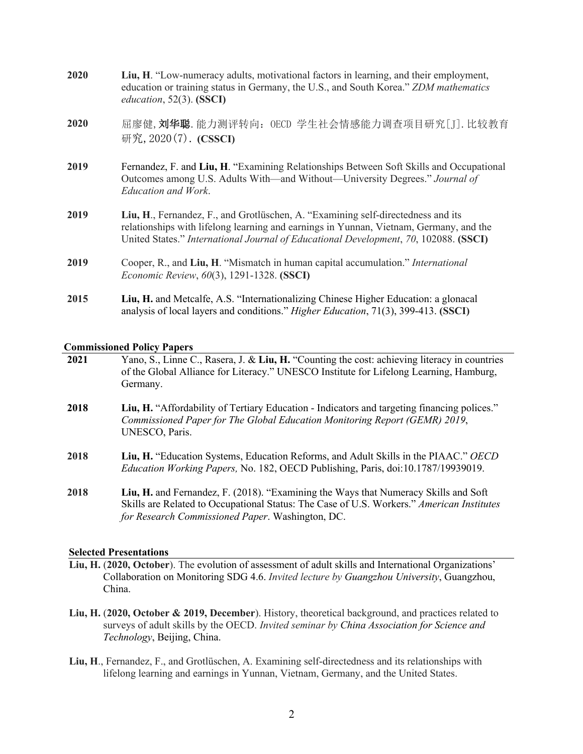| 2020 | Liu, H. "Low-numeracy adults, motivational factors in learning, and their employment,<br>education or training status in Germany, the U.S., and South Korea." ZDM mathematics<br><i>education</i> , $52(3)$ . (SSCI)                                               |
|------|--------------------------------------------------------------------------------------------------------------------------------------------------------------------------------------------------------------------------------------------------------------------|
| 2020 | 屈廖健, 刘华聪. 能力测评转向: OECD 学生社会情感能力调查项目研究[J]. 比较教育<br>研究, 2020(7). (CSSCI)                                                                                                                                                                                             |
| 2019 | Fernandez, F. and Liu, H. "Examining Relationships Between Soft Skills and Occupational<br>Outcomes among U.S. Adults With—and Without—University Degrees." Journal of<br>Education and Work.                                                                      |
| 2019 | Liu, H., Fernandez, F., and Grotlüschen, A. "Examining self-directedness and its<br>relationships with lifelong learning and earnings in Yunnan, Vietnam, Germany, and the<br>United States." International Journal of Educational Development, 70, 102088. (SSCI) |
| 2019 | Cooper, R., and Liu, H. "Mismatch in human capital accumulation." International<br><i>Economic Review, 60(3), 1291-1328. (SSCI)</i>                                                                                                                                |
| 2015 | Liu, H. and Metcalfe, A.S. "Internationalizing Chinese Higher Education: a glonacal<br>analysis of local layers and conditions." Higher Education, 71(3), 399-413. (SSCI)                                                                                          |

## **Commissioned Policy Papers**

| 2021 | Yano, S., Linne C., Rasera, J. & Liu, H. "Counting the cost: achieving literacy in countries<br>of the Global Alliance for Literacy." UNESCO Institute for Lifelong Learning, Hamburg,<br>Germany. |
|------|----------------------------------------------------------------------------------------------------------------------------------------------------------------------------------------------------|
| 2018 | Liu, H. "Affordability of Tertiary Education - Indicators and targeting financing polices."<br>Commissioned Paper for The Global Education Monitoring Report (GEMR) 2019,<br>UNESCO, Paris.        |
| 2018 | Liu, H. "Education Systems, Education Reforms, and Adult Skills in the PIAAC." OECD<br>Education Working Papers, No. 182, OECD Publishing, Paris, doi:10.1787/19939019.                            |

**2018 Liu, H.** and Fernandez, F. (2018). "Examining the Ways that Numeracy Skills and Soft Skills are Related to Occupational Status: The Case of U.S. Workers." *American Institutes for Research Commissioned Paper*. Washington, DC.

### **Selected Presentations**

- **Liu, H.** (**2020, October**). The evolution of assessment of adult skills and International Organizations' Collaboration on Monitoring SDG 4.6. *Invited lecture by Guangzhou University*, Guangzhou, China.
- **Liu, H.** (**2020, October & 2019, December**). History, theoretical background, and practices related to surveys of adult skills by the OECD. *Invited seminar by China Association for Science and Technology*, Beijing, China.
- **Liu, H**., Fernandez, F., and Grotlüschen, A. Examining self-directedness and its relationships with lifelong learning and earnings in Yunnan, Vietnam, Germany, and the United States.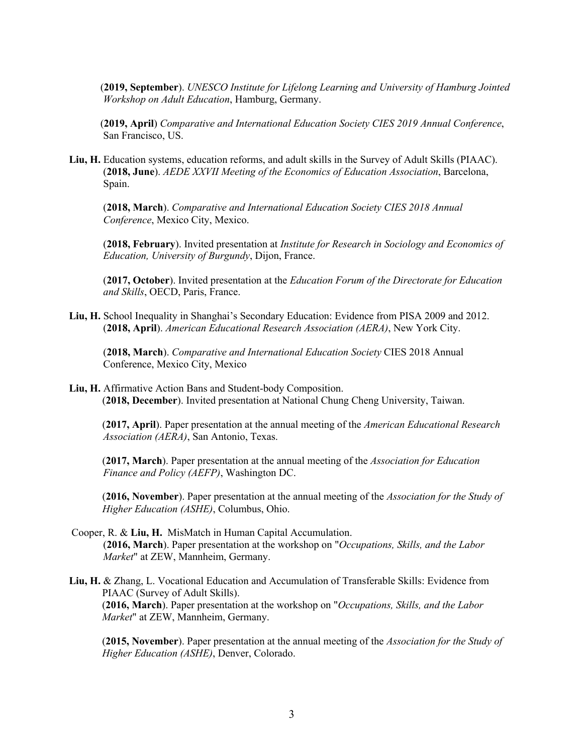(**2019, September**). *UNESCO Institute for Lifelong Learning and University of Hamburg Jointed Workshop on Adult Education*, Hamburg, Germany.

(**2019, April**) *Comparative and International Education Society CIES 2019 Annual Conference*, San Francisco, US.

**Liu, H.** Education systems, education reforms, and adult skills in the Survey of Adult Skills (PIAAC). (**2018, June**). *AEDE XXVII Meeting of the Economics of Education Association*, Barcelona, Spain.

(**2018, March**). *Comparative and International Education Society CIES 2018 Annual Conference*, Mexico City, Mexico.

(**2018, February**). Invited presentation at *Institute for Research in Sociology and Economics of Education, University of Burgundy*, Dijon, France.

(**2017, October**). Invited presentation at the *Education Forum of the Directorate for Education and Skills*, OECD, Paris, France.

**Liu, H.** School Inequality in Shanghai's Secondary Education: Evidence from PISA 2009 and 2012. (**2018, April**). *American Educational Research Association (AERA)*, New York City.

(**2018, March**). *Comparative and International Education Society* CIES 2018 Annual Conference, Mexico City, Mexico

**Liu, H.** Affirmative Action Bans and Student-body Composition. (**2018, December**). Invited presentation at National Chung Cheng University, Taiwan.

(**2017, April**). Paper presentation at the annual meeting of the *American Educational Research Association (AERA)*, San Antonio, Texas.

(**2017, March**). Paper presentation at the annual meeting of the *Association for Education Finance and Policy (AEFP)*, Washington DC.

(**2016, November**). Paper presentation at the annual meeting of the *Association for the Study of Higher Education (ASHE)*, Columbus, Ohio.

- Cooper, R. & **Liu, H.** MisMatch in Human Capital Accumulation. (**2016, March**). Paper presentation at the workshop on "*Occupations, Skills, and the Labor Market*" at ZEW, Mannheim, Germany.
- **Liu, H.** & Zhang, L. Vocational Education and Accumulation of Transferable Skills: Evidence from PIAAC (Survey of Adult Skills). (**2016, March**). Paper presentation at the workshop on "*Occupations, Skills, and the Labor Market*" at ZEW, Mannheim, Germany.

(**2015, November**). Paper presentation at the annual meeting of the *Association for the Study of Higher Education (ASHE)*, Denver, Colorado.